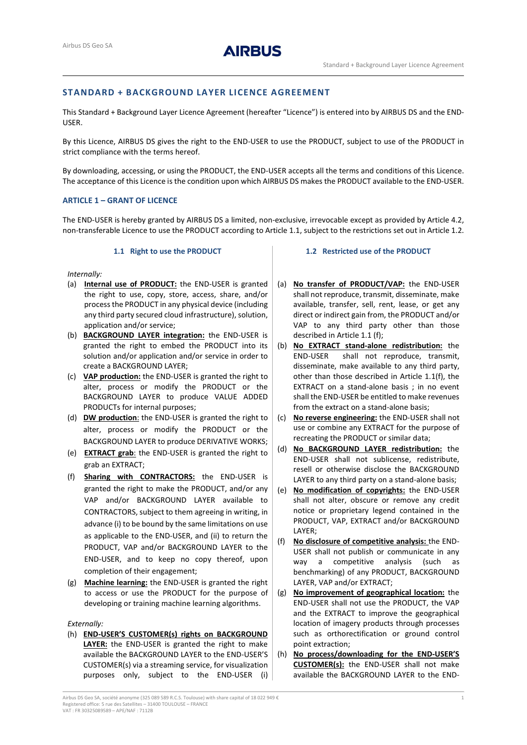# STANDARD + BACKGROUND LAYER LICENCE AGREEMENT

This Standard + Background Layer Licence Agreement (hereafter "Licence") is entered into by AIRBUS DS and the END-USER.

By this Licence, AIRBUS DS gives the right to the END-USER to use the PRODUCT, subject to use of the PRODUCT in strict compliance with the terms hereof.

By downloading, accessing, or using the PRODUCT, the END-USER accepts all the terms and conditions of this Licence. The acceptance of this Licence is the condition upon which AIRBUS DS makes the PRODUCT available to the END-USER.

### ARTICLE 1 – GRANT OF LICENCE

The END-USER is hereby granted by AIRBUS DS a limited, non-exclusive, irrevocable except as provided by Article 4.2, non-transferable Licence to use the PRODUCT according to Article 1.1, subject to the restrictions set out in Article 1.2.

### 1.1 Right to use the PRODUCT

Internally:

- (a) Internal use of PRODUCT: the END-USER is granted the right to use, copy, store, access, share, and/or process the PRODUCT in any physical device (including any third party secured cloud infrastructure), solution, application and/or service;
- (b) BACKGROUND LAYER integration: the END-USER is granted the right to embed the PRODUCT into its solution and/or application and/or service in order to create a BACKGROUND LAYER;
- (c) VAP production: the END-USER is granted the right to alter, process or modify the PRODUCT or the BACKGROUND LAYER to produce VALUE ADDED PRODUCTs for internal purposes;
- (d) **DW production:** the END-USER is granted the right to alter, process or modify the PRODUCT or the BACKGROUND LAYER to produce DERIVATIVE WORKS;
- (e) EXTRACT grab: the END-USER is granted the right to grab an EXTRACT;
- (f) Sharing with CONTRACTORS: the END-USER is granted the right to make the PRODUCT, and/or any VAP and/or BACKGROUND LAYER available to CONTRACTORS, subject to them agreeing in writing, in advance (i) to be bound by the same limitations on use as applicable to the END-USER, and (ii) to return the PRODUCT, VAP and/or BACKGROUND LAYER to the END-USER, and to keep no copy thereof, upon completion of their engagement;
- (g) Machine learning: the END-USER is granted the right to access or use the PRODUCT for the purpose of developing or training machine learning algorithms.

#### Externally:

(h) END-USER'S CUSTOMER(s) rights on BACKGROUND LAYER: the END-USER is granted the right to make available the BACKGROUND LAYER to the END-USER'S CUSTOMER(s) via a streaming service, for visualization purposes only, subject to the END-USER (i)

### 1.2 Restricted use of the PRODUCT

- (a) No transfer of PRODUCT/VAP: the END-USER shall not reproduce, transmit, disseminate, make available, transfer, sell, rent, lease, or get any direct or indirect gain from, the PRODUCT and/or VAP to any third party other than those described in Article 1.1 (f);
- (b) No EXTRACT stand-alone redistribution: the END-USER shall not reproduce, transmit, disseminate, make available to any third party, other than those described in Article 1.1(f), the EXTRACT on a stand-alone basis ; in no event shall the END-USER be entitled to make revenues from the extract on a stand-alone basis;
- (c) No reverse engineering: the END-USER shall not use or combine any EXTRACT for the purpose of recreating the PRODUCT or similar data;
- (d) No BACKGROUND LAYER redistribution: the END-USER shall not sublicense, redistribute, resell or otherwise disclose the BACKGROUND LAYER to any third party on a stand-alone basis;
- (e) No modification of copyrights: the END-USER shall not alter, obscure or remove any credit notice or proprietary legend contained in the PRODUCT, VAP, EXTRACT and/or BACKGROUND LAYER;
- (f) No disclosure of competitive analysis: the END-USER shall not publish or communicate in any way a competitive analysis (such as benchmarking) of any PRODUCT, BACKGROUND LAYER, VAP and/or EXTRACT;
- (g) No improvement of geographical location: the END-USER shall not use the PRODUCT, the VAP and the EXTRACT to improve the geographical location of imagery products through processes such as orthorectification or ground control point extraction;
- (h) No process/downloading for the END-USER'S **CUSTOMER(s):** the END-USER shall not make available the BACKGROUND LAYER to the END-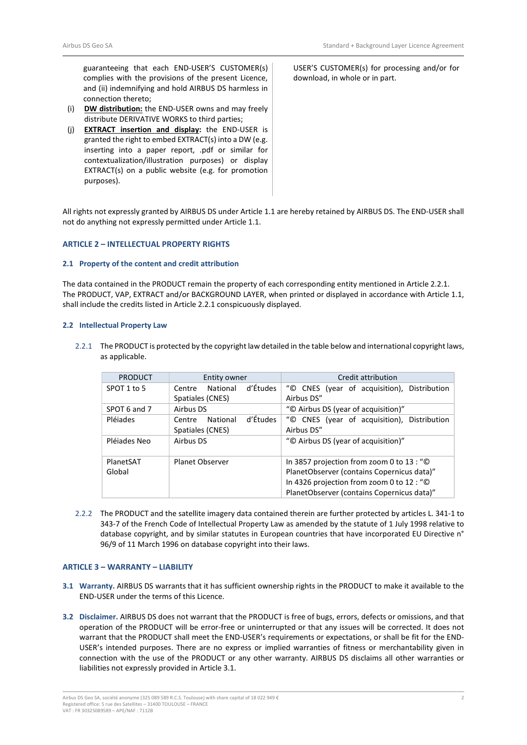guaranteeing that each END-USER'S CUSTOMER(s) complies with the provisions of the present Licence, and (ii) indemnifying and hold AIRBUS DS harmless in connection thereto;

- (i) DW distribution: the END-USER owns and may freely distribute DERIVATIVE WORKS to third parties;
- (j) EXTRACT insertion and display: the END-USER is granted the right to embed EXTRACT(s) into a DW (e.g. inserting into a paper report, .pdf or similar for contextualization/illustration purposes) or display EXTRACT(s) on a public website (e.g. for promotion purposes).

USER'S CUSTOMER(s) for processing and/or for download, in whole or in part.

All rights not expressly granted by AIRBUS DS under Article 1.1 are hereby retained by AIRBUS DS. The END-USER shall not do anything not expressly permitted under Article 1.1.

### ARTICLE 2 – INTELLECTUAL PROPERTY RIGHTS

### 2.1 Property of the content and credit attribution

The data contained in the PRODUCT remain the property of each corresponding entity mentioned in Article 2.2.1. The PRODUCT, VAP, EXTRACT and/or BACKGROUND LAYER, when printed or displayed in accordance with Article 1.1, shall include the credits listed in Article 2.2.1 conspicuously displayed.

### 2.2 Intellectual Property Law

2.2.1 The PRODUCT is protected by the copyright law detailed in the table below and international copyright laws, as applicable.

| <b>PRODUCT</b>      | Entity owner                                       | Credit attribution                                                                                                                                                                 |
|---------------------|----------------------------------------------------|------------------------------------------------------------------------------------------------------------------------------------------------------------------------------------|
| SPOT 1 to 5         | d'Études<br>National<br>Centre<br>Spatiales (CNES) | "© CNES (year of acquisition), Distribution<br>Airbus DS"                                                                                                                          |
| SPOT 6 and 7        | Airbus DS                                          | "© Airbus DS (year of acquisition)"                                                                                                                                                |
| Pléjades            | d'Études<br>National<br>Centre<br>Spatiales (CNES) | "© CNES (year of acquisition), Distribution<br>Airbus DS"                                                                                                                          |
| Pléjades Neo        | Airbus DS                                          | "© Airbus DS (year of acquisition)"                                                                                                                                                |
| PlanetSAT<br>Global | <b>Planet Observer</b>                             | In 3857 projection from zoom 0 to 13 : "©<br>PlanetObserver (contains Copernicus data)"<br>In 4326 projection from zoom 0 to 12 : "©<br>PlanetObserver (contains Copernicus data)" |

2.2.2 The PRODUCT and the satellite imagery data contained therein are further protected by articles L. 341-1 to 343-7 of the French Code of Intellectual Property Law as amended by the statute of 1 July 1998 relative to database copyright, and by similar statutes in European countries that have incorporated EU Directive n° 96/9 of 11 March 1996 on database copyright into their laws.

# ARTICLE 3 – WARRANTY – LIABILITY

- 3.1 Warranty. AIRBUS DS warrants that it has sufficient ownership rights in the PRODUCT to make it available to the END-USER under the terms of this Licence.
- 3.2 Disclaimer. AIRBUS DS does not warrant that the PRODUCT is free of bugs, errors, defects or omissions, and that operation of the PRODUCT will be error-free or uninterrupted or that any issues will be corrected. It does not warrant that the PRODUCT shall meet the END-USER's requirements or expectations, or shall be fit for the END-USER's intended purposes. There are no express or implied warranties of fitness or merchantability given in connection with the use of the PRODUCT or any other warranty. AIRBUS DS disclaims all other warranties or liabilities not expressly provided in Article 3.1.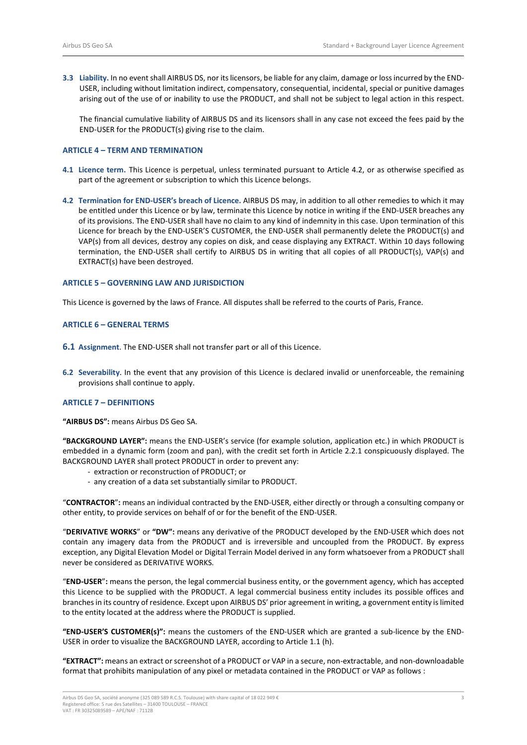3.3 Liability. In no event shall AIRBUS DS, nor its licensors, be liable for any claim, damage or loss incurred by the END-USER, including without limitation indirect, compensatory, consequential, incidental, special or punitive damages arising out of the use of or inability to use the PRODUCT, and shall not be subject to legal action in this respect.

The financial cumulative liability of AIRBUS DS and its licensors shall in any case not exceed the fees paid by the END-USER for the PRODUCT(s) giving rise to the claim.

### ARTICLE 4 – TERM AND TERMINATION

- 4.1 Licence term. This Licence is perpetual, unless terminated pursuant to Article 4.2, or as otherwise specified as part of the agreement or subscription to which this Licence belongs.
- 4.2 Termination for END-USER's breach of Licence. AIRBUS DS may, in addition to all other remedies to which it may be entitled under this Licence or by law, terminate this Licence by notice in writing if the END-USER breaches any of its provisions. The END-USER shall have no claim to any kind of indemnity in this case. Upon termination of this Licence for breach by the END-USER'S CUSTOMER, the END-USER shall permanently delete the PRODUCT(s) and VAP(s) from all devices, destroy any copies on disk, and cease displaying any EXTRACT. Within 10 days following termination, the END-USER shall certify to AIRBUS DS in writing that all copies of all PRODUCT(s), VAP(s) and EXTRACT(s) have been destroyed.

#### ARTICLE 5 – GOVERNING LAW AND JURISDICTION

This Licence is governed by the laws of France. All disputes shall be referred to the courts of Paris, France.

### ARTICLE 6 – GENERAL TERMS

- 6.1 Assignment. The END-USER shall not transfer part or all of this Licence.
- 6.2 Severability. In the event that any provision of this Licence is declared invalid or unenforceable, the remaining provisions shall continue to apply.

# ARTICLE 7 – DEFINITIONS

"AIRBUS DS": means Airbus DS Geo SA.

"BACKGROUND LAYER": means the END-USER's service (for example solution, application etc.) in which PRODUCT is embedded in a dynamic form (zoom and pan), with the credit set forth in Article 2.2.1 conspicuously displayed. The BACKGROUND LAYER shall protect PRODUCT in order to prevent any:

- extraction or reconstruction of PRODUCT; or
- any creation of a data set substantially similar to PRODUCT.

"CONTRACTOR": means an individual contracted by the END-USER, either directly or through a consulting company or other entity, to provide services on behalf of or for the benefit of the END-USER.

"DERIVATIVE WORKS" or "DW": means any derivative of the PRODUCT developed by the END-USER which does not contain any imagery data from the PRODUCT and is irreversible and uncoupled from the PRODUCT. By express exception, any Digital Elevation Model or Digital Terrain Model derived in any form whatsoever from a PRODUCT shall never be considered as DERIVATIVE WORKS.

"END-USER": means the person, the legal commercial business entity, or the government agency, which has accepted this Licence to be supplied with the PRODUCT. A legal commercial business entity includes its possible offices and branches in its country of residence. Except upon AIRBUS DS' prior agreement in writing, a government entity is limited to the entity located at the address where the PRODUCT is supplied.

"END-USER'S CUSTOMER(s)": means the customers of the END-USER which are granted a sub-licence by the END-USER in order to visualize the BACKGROUND LAYER, according to Article 1.1 (h).

"EXTRACT": means an extract or screenshot of a PRODUCT or VAP in a secure, non-extractable, and non-downloadable format that prohibits manipulation of any pixel or metadata contained in the PRODUCT or VAP as follows :